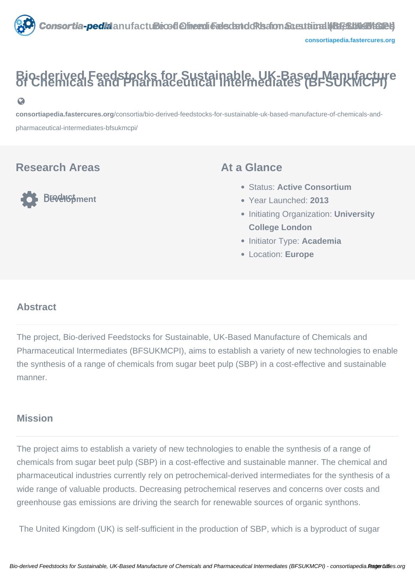

# **Bio-derived Feedstocks for Sustainable, UK-Based Manufacture of Chemicals and Pharmaceutical Intermediates (BFSUKMCPI)**

**[consortiapedia.fastercures.org](https://consortiapedia.fastercures.org/consortia/bio-derived-feedstocks-for-sustainable-uk-based-manufacture-of-chemicals-and-pharmaceutical-intermediates-bfsukmcpi/)**[/consortia/bio-derived-feedstocks-for-sustainable-uk-based-manufacture-of-chemicals-and](https://consortiapedia.fastercures.org/consortia/bio-derived-feedstocks-for-sustainable-uk-based-manufacture-of-chemicals-and-pharmaceutical-intermediates-bfsukmcpi/)[pharmaceutical-intermediates-bfsukmcpi/](https://consortiapedia.fastercures.org/consortia/bio-derived-feedstocks-for-sustainable-uk-based-manufacture-of-chemicals-and-pharmaceutical-intermediates-bfsukmcpi/)

#### **Research Areas**

 $\Omega$ 

**Product Product** 

#### **At a Glance**

- Status: **Active Consortium**
- Year Launched: **2013**
- **Initiating Organization: University College London**
- Initiator Type: **Academia**
- Location: **Europe**

#### $\overline{a}$ **Abstract**

The project, Bio-derived Feedstocks for Sustainable, UK-Based Manufacture of Chemicals and Pharmaceutical Intermediates (BFSUKMCPI), aims to establish a variety of new technologies to enable the synthesis of a range of chemicals from sugar beet pulp (SBP) in a cost-effective and sustainable manner.

#### **Mission**

The project aims to establish a variety of new technologies to enable the synthesis of a range of chemicals from sugar beet pulp (SBP) in a cost-effective and sustainable manner. The chemical and pharmaceutical industries currently rely on petrochemical-derived intermediates for the synthesis of a wide range of valuable products. Decreasing petrochemical reserves and concerns over costs and greenhouse gas emissions are driving the search for renewable sources of organic synthons.

The United Kingdom (UK) is self-sufficient in the production of SBP, which is a byproduct of sugar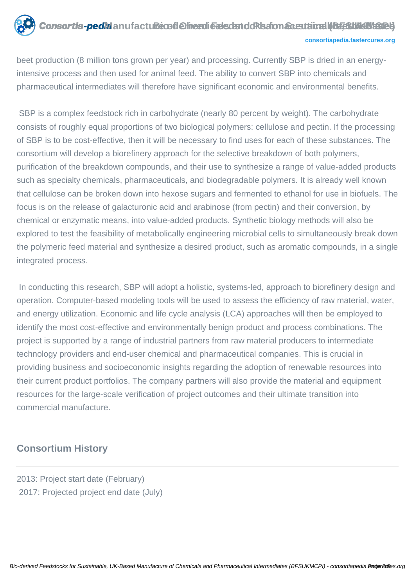

beet production (8 million tons grown per year) and processing. Currently SBP is dried in an energyintensive process and then used for animal feed. The ability to convert SBP into chemicals and pharmaceutical intermediates will therefore have significant economic and environmental benefits.

 SBP is a complex feedstock rich in carbohydrate (nearly 80 percent by weight). The carbohydrate consists of roughly equal proportions of two biological polymers: cellulose and pectin. If the processing of SBP is to be cost-effective, then it will be necessary to find uses for each of these substances. The consortium will develop a biorefinery approach for the selective breakdown of both polymers, purification of the breakdown compounds, and their use to synthesize a range of value-added products such as specialty chemicals, pharmaceuticals, and biodegradable polymers. It is already well known that cellulose can be broken down into hexose sugars and fermented to ethanol for use in biofuels. The focus is on the release of galacturonic acid and arabinose (from pectin) and their conversion, by chemical or enzymatic means, into value-added products. Synthetic biology methods will also be explored to test the feasibility of metabolically engineering microbial cells to simultaneously break down the polymeric feed material and synthesize a desired product, such as aromatic compounds, in a single integrated process.

 In conducting this research, SBP will adopt a holistic, systems-led, approach to biorefinery design and operation. Computer-based modeling tools will be used to assess the efficiency of raw material, water, and energy utilization. Economic and life cycle analysis (LCA) approaches will then be employed to identify the most cost-effective and environmentally benign product and process combinations. The project is supported by a range of industrial partners from raw material producers to intermediate technology providers and end-user chemical and pharmaceutical companies. This is crucial in providing business and socioeconomic insights regarding the adoption of renewable resources into their current product portfolios. The company partners will also provide the material and equipment resources for the large-scale verification of project outcomes and their ultimate transition into commercial manufacture.

#### **Consortium History**

2013: Project start date (February) 2017: Projected project end date (July)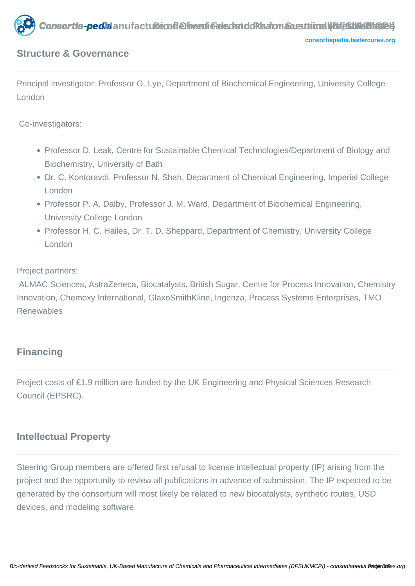

#### **Structure & Governance**

Principal investigator: Professor G. Lye, Department of Biochemical Engineering, University College London

Co-investigators:

- Professor D. Leak, Centre for Sustainable Chemical Technologies/Department of Biology and Biochemistry, University of Bath
- Dr. C. Kontoravdi, Professor N. Shah, Department of Chemical Engineering, Imperial College London
- Professor P. A. Dalby, Professor J. M. Ward, Department of Biochemical Engineering, University College London
- Professor H. C. Hailes, Dr. T. D. Sheppard, Department of Chemistry, University College London

Project partners:

 ALMAC Sciences, AstraZeneca, Biocatalysts, British Sugar, Centre for Process Innovation, Chemistry Innovation, Chemoxy International, GlaxoSmithKline, Ingenza, Process Systems Enterprises, TMO Renewables

#### **Financing**

Project costs of £1.9 million are funded by the UK Engineering and Physical Sciences Research Council (EPSRC).

#### **Intellectual Property**

Steering Group members are offered first refusal to license intellectual property (IP) arising from the project and the opportunity to review all publications in advance of submission. The IP expected to be generated by the consortium will most likely be related to new biocatalysts, synthetic routes, USD devices, and modeling software.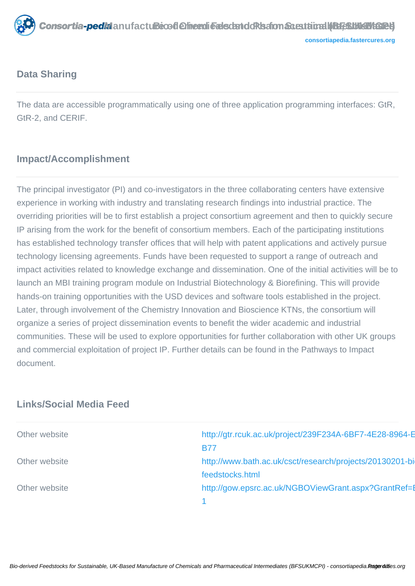

#### **Data Sharing**

The data are accessible programmatically using one of three application programming interfaces: GtR, GtR-2, and CERIF.

# **Impact/Accomplishment**

The principal investigator (PI) and co-investigators in the three collaborating centers have extensive experience in working with industry and translating research findings into industrial practice. The overriding priorities will be to first establish a project consortium agreement and then to quickly secure IP arising from the work for the benefit of consortium members. Each of the participating institutions has established technology transfer offices that will help with patent applications and actively pursue technology licensing agreements. Funds have been requested to support a range of outreach and impact activities related to knowledge exchange and dissemination. One of the initial activities will be to launch an MBI training program module on Industrial Biotechnology & Biorefining. This will provide hands-on training opportunities with the USD devices and software tools established in the project. Later, through involvement of the Chemistry Innovation and Bioscience KTNs, the consortium will organize a series of project dissemination events to benefit the wider academic and industrial communities. These will be used to explore opportunities for further collaboration with other UK groups and commercial exploitation of project IP. Further details can be found in the Pathways to Impact document.

#### **Links/Social Media Feed**

| Other website | http://gtr.rcuk.ac.uk/project/239F234A-6BF7-4E28-8964-E  |
|---------------|----------------------------------------------------------|
|               | <b>B77</b>                                               |
| Other website | http://www.bath.ac.uk/csct/research/projects/20130201-bi |
|               | feedstocks.html                                          |
| Other website | http://gow.epsrc.ac.uk/NGBOViewGrant.aspx?GrantRef=E     |
|               |                                                          |
|               |                                                          |